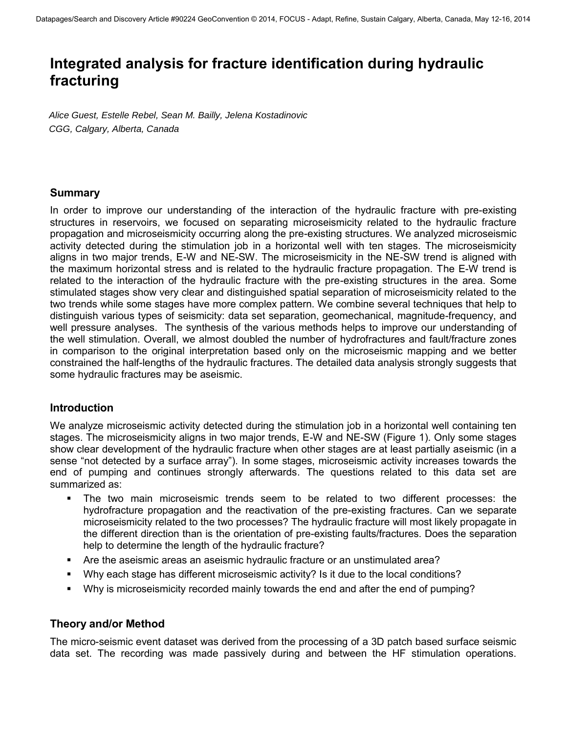# **Integrated analysis for fracture identification during hydraulic fracturing**

*Alice Guest, Estelle Rebel, Sean M. Bailly, Jelena Kostadinovic CGG, Calgary, Alberta, Canada* 

## **Summary**

In order to improve our understanding of the interaction of the hydraulic fracture with pre-existing structures in reservoirs, we focused on separating microseismicity related to the hydraulic fracture propagation and microseismicity occurring along the pre-existing structures. We analyzed microseismic activity detected during the stimulation job in a horizontal well with ten stages. The microseismicity aligns in two major trends, E-W and NE-SW. The microseismicity in the NE-SW trend is aligned with the maximum horizontal stress and is related to the hydraulic fracture propagation. The E-W trend is related to the interaction of the hydraulic fracture with the pre-existing structures in the area. Some stimulated stages show very clear and distinguished spatial separation of microseismicity related to the two trends while some stages have more complex pattern. We combine several techniques that help to distinguish various types of seismicity: data set separation, geomechanical, magnitude-frequency, and well pressure analyses. The synthesis of the various methods helps to improve our understanding of the well stimulation. Overall, we almost doubled the number of hydrofractures and fault/fracture zones in comparison to the original interpretation based only on the microseismic mapping and we better constrained the half-lengths of the hydraulic fractures. The detailed data analysis strongly suggests that some hydraulic fractures may be aseismic.

## **Introduction**

We analyze microseismic activity detected during the stimulation job in a horizontal well containing ten stages. The microseismicity aligns in two major trends, E-W and NE-SW (Figure 1). Only some stages show clear development of the hydraulic fracture when other stages are at least partially aseismic (in a sense "not detected by a surface array"). In some stages, microseismic activity increases towards the end of pumping and continues strongly afterwards. The questions related to this data set are summarized as:

- The two main microseismic trends seem to be related to two different processes: the hydrofracture propagation and the reactivation of the pre-existing fractures. Can we separate microseismicity related to the two processes? The hydraulic fracture will most likely propagate in the different direction than is the orientation of pre-existing faults/fractures. Does the separation help to determine the length of the hydraulic fracture?
- Are the aseismic areas an aseismic hydraulic fracture or an unstimulated area?
- Why each stage has different microseismic activity? Is it due to the local conditions?
- Why is microseismicity recorded mainly towards the end and after the end of pumping?

## **Theory and/or Method**

The micro-seismic event dataset was derived from the processing of a 3D patch based surface seismic data set. The recording was made passively during and between the HF stimulation operations.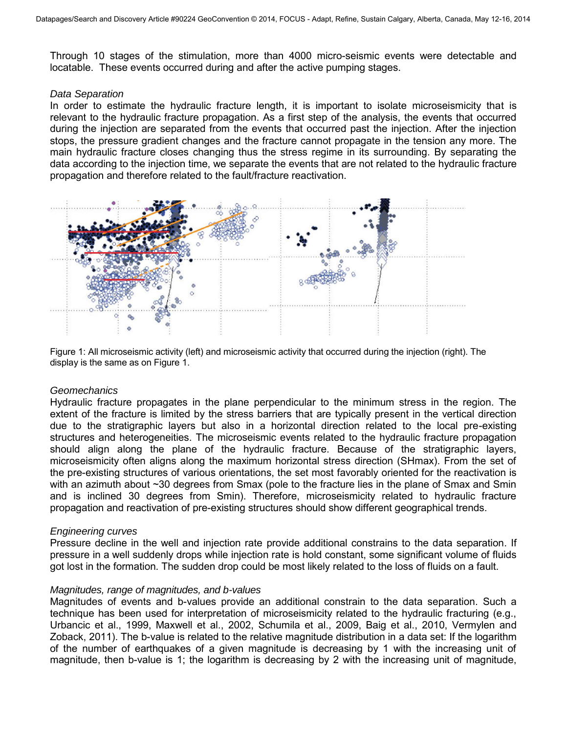Through 10 stages of the stimulation, more than 4000 micro-seismic events were detectable and locatable. These events occurred during and after the active pumping stages.

#### *Data Separation*

In order to estimate the hydraulic fracture length, it is important to isolate microseismicity that is relevant to the hydraulic fracture propagation. As a first step of the analysis, the events that occurred during the injection are separated from the events that occurred past the injection. After the injection stops, the pressure gradient changes and the fracture cannot propagate in the tension any more. The main hydraulic fracture closes changing thus the stress regime in its surrounding. By separating the data according to the injection time, we separate the events that are not related to the hydraulic fracture propagation and therefore related to the fault/fracture reactivation.



Figure 1: All microseismic activity (left) and microseismic activity that occurred during the injection (right). The display is the same as on Figure 1.

#### *Geomechanics*

Hydraulic fracture propagates in the plane perpendicular to the minimum stress in the region. The extent of the fracture is limited by the stress barriers that are typically present in the vertical direction due to the stratigraphic layers but also in a horizontal direction related to the local pre-existing structures and heterogeneities. The microseismic events related to the hydraulic fracture propagation should align along the plane of the hydraulic fracture. Because of the stratigraphic layers, microseismicity often aligns along the maximum horizontal stress direction (SHmax). From the set of the pre-existing structures of various orientations, the set most favorably oriented for the reactivation is with an azimuth about ~30 degrees from Smax (pole to the fracture lies in the plane of Smax and Smin and is inclined 30 degrees from Smin). Therefore, microseismicity related to hydraulic fracture propagation and reactivation of pre-existing structures should show different geographical trends.

#### *Engineering curves*

Pressure decline in the well and injection rate provide additional constrains to the data separation. If pressure in a well suddenly drops while injection rate is hold constant, some significant volume of fluids got lost in the formation. The sudden drop could be most likely related to the loss of fluids on a fault.

#### *Magnitudes, range of magnitudes, and b-values*

Magnitudes of events and b-values provide an additional constrain to the data separation. Such a technique has been used for interpretation of microseismicity related to the hydraulic fracturing (e.g., Urbancic et al., 1999, Maxwell et al., 2002, Schumila et al., 2009, Baig et al., 2010, Vermylen and Zoback, 2011). The b-value is related to the relative magnitude distribution in a data set: If the logarithm of the number of earthquakes of a given magnitude is decreasing by 1 with the increasing unit of magnitude, then b-value is 1; the logarithm is decreasing by 2 with the increasing unit of magnitude,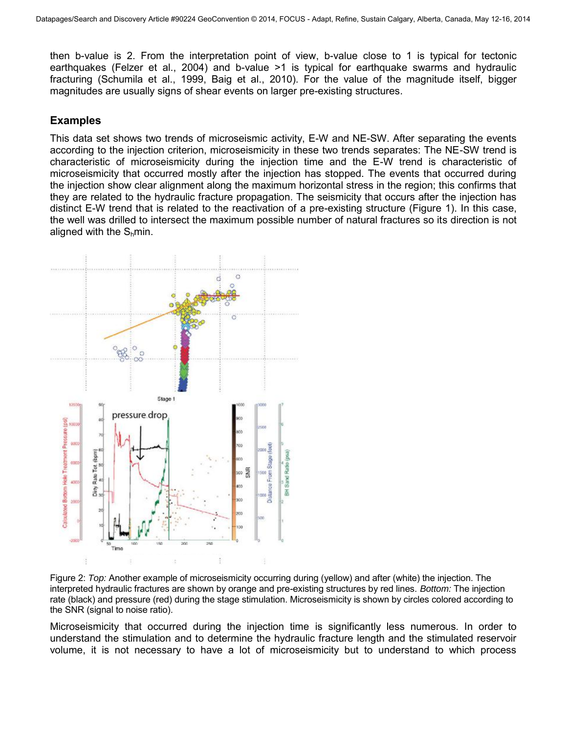then b-value is 2. From the interpretation point of view, b-value close to 1 is typical for tectonic earthquakes (Felzer et al., 2004) and b-value >1 is typical for earthquake swarms and hydraulic fracturing (Schumila et al., 1999, Baig et al., 2010). For the value of the magnitude itself, bigger magnitudes are usually signs of shear events on larger pre-existing structures.

### **Examples**

This data set shows two trends of microseismic activity, E-W and NE-SW. After separating the events according to the injection criterion, microseismicity in these two trends separates: The NE-SW trend is characteristic of microseismicity during the injection time and the E-W trend is characteristic of microseismicity that occurred mostly after the injection has stopped. The events that occurred during the injection show clear alignment along the maximum horizontal stress in the region; this confirms that they are related to the hydraulic fracture propagation. The seismicity that occurs after the injection has distinct E-W trend that is related to the reactivation of a pre-existing structure (Figure 1). In this case, the well was drilled to intersect the maximum possible number of natural fractures so its direction is not aligned with the  $S<sub>h</sub>min$ .



Figure 2: *Top:* Another example of microseismicity occurring during (yellow) and after (white) the injection. The interpreted hydraulic fractures are shown by orange and pre-existing structures by red lines. *Bottom:* The injection rate (black) and pressure (red) during the stage stimulation. Microseismicity is shown by circles colored according to the SNR (signal to noise ratio).

Microseismicity that occurred during the injection time is significantly less numerous. In order to understand the stimulation and to determine the hydraulic fracture length and the stimulated reservoir volume, it is not necessary to have a lot of microseismicity but to understand to which process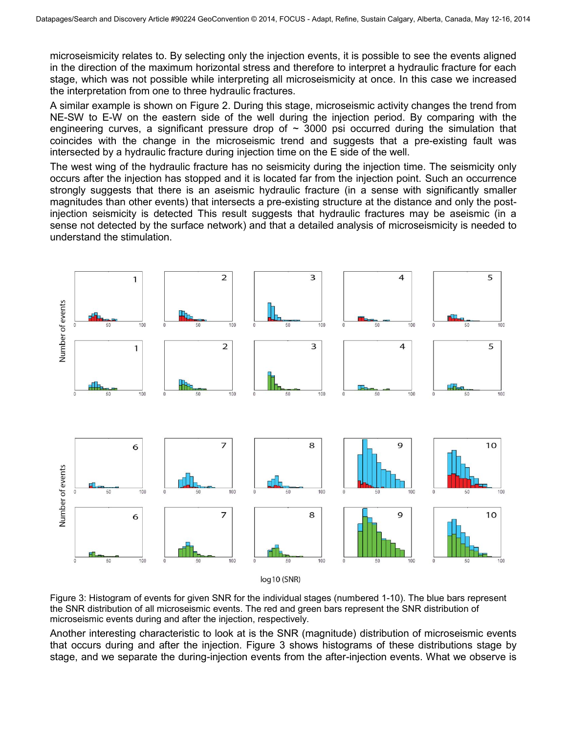microseismicity relates to. By selecting only the injection events, it is possible to see the events aligned in the direction of the maximum horizontal stress and therefore to interpret a hydraulic fracture for each stage, which was not possible while interpreting all microseismicity at once. In this case we increased the interpretation from one to three hydraulic fractures.

A similar example is shown on Figure 2. During this stage, microseismic activity changes the trend from NE-SW to E-W on the eastern side of the well during the injection period. By comparing with the engineering curves, a significant pressure drop of  $\sim$  3000 psi occurred during the simulation that coincides with the change in the microseismic trend and suggests that a pre-existing fault was intersected by a hydraulic fracture during injection time on the E side of the well.

The west wing of the hydraulic fracture has no seismicity during the injection time. The seismicity only occurs after the injection has stopped and it is located far from the injection point. Such an occurrence strongly suggests that there is an aseismic hydraulic fracture (in a sense with significantly smaller magnitudes than other events) that intersects a pre-existing structure at the distance and only the postinjection seismicity is detected This result suggests that hydraulic fractures may be aseismic (in a sense not detected by the surface network) and that a detailed analysis of microseismicity is needed to understand the stimulation.



Figure 3: Histogram of events for given SNR for the individual stages (numbered 1-10). The blue bars represent the SNR distribution of all microseismic events. The red and green bars represent the SNR distribution of microseismic events during and after the injection, respectively.

Another interesting characteristic to look at is the SNR (magnitude) distribution of microseismic events that occurs during and after the injection. Figure 3 shows histograms of these distributions stage by stage, and we separate the during-injection events from the after-injection events. What we observe is